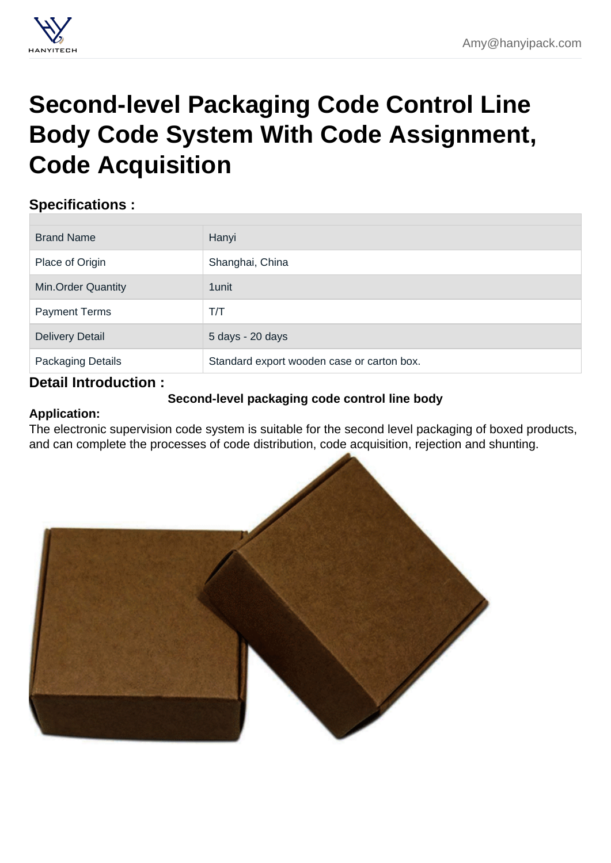# Second-level Packaging Code Control Line [Body Code System With Code Assignment,](https://hanyipack.com/printing-and-labeling-machine/second-level-packaging-code-control-line-body.html) Code Acquisition

## Specifications :

| <b>Brand Name</b>         | Hanyi                                      |
|---------------------------|--------------------------------------------|
| Place of Origin           | Shanghai, China                            |
| <b>Min.Order Quantity</b> | 1 unit                                     |
| <b>Payment Terms</b>      | T/T                                        |
| <b>Delivery Detail</b>    | 5 days - 20 days                           |
| <b>Packaging Details</b>  | Standard export wooden case or carton box. |

## Detail Introduction :

Second-level packaging code control line body

Application:

The electronic supervision code system is suitable for the second level packaging of boxed products, and can complete the processes of code distribution, code acquisition, rejection and shunting.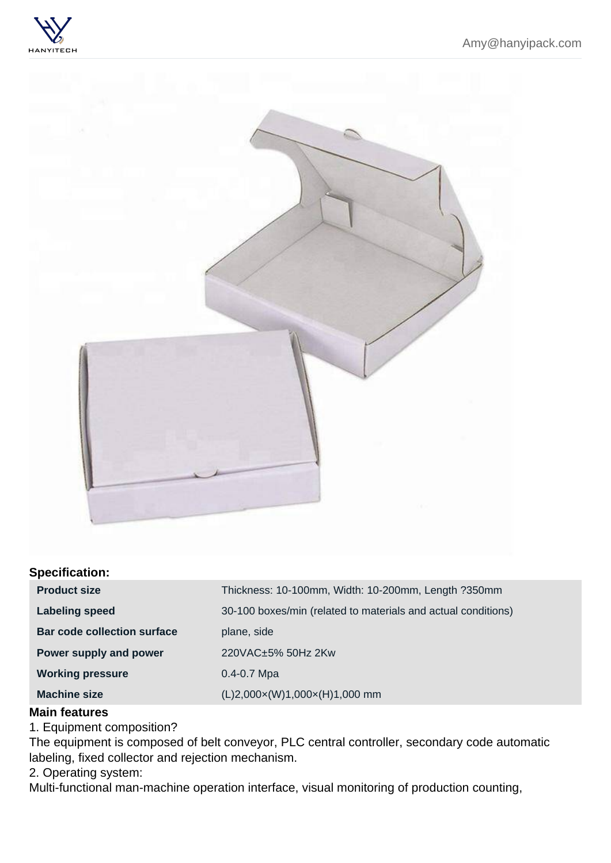### Specification:

| Product size                | Thickness: 10-100mm, Width: 10-200mm, Length ?350mm           |
|-----------------------------|---------------------------------------------------------------|
| Labeling speed              | 30-100 boxes/min (related to materials and actual conditions) |
| Bar code collection surface | plane, side                                                   |
| Power supply and power      | 220VAC±5% 50Hz 2Kw                                            |
| Working pressure            | $0.4 - 0.7$ Mpa                                               |
| Machine size                | $(L)2,000 \times (W)1,000 \times (H)1,000$ mm                 |

#### Main features

1. Equipment composition?

The equipment is composed of belt conveyor, PLC central controller, secondary code automatic labeling, fixed collector and rejection mechanism.

2. Operating system:

Multi-functional man-machine operation interface, visual monitoring of production counting,